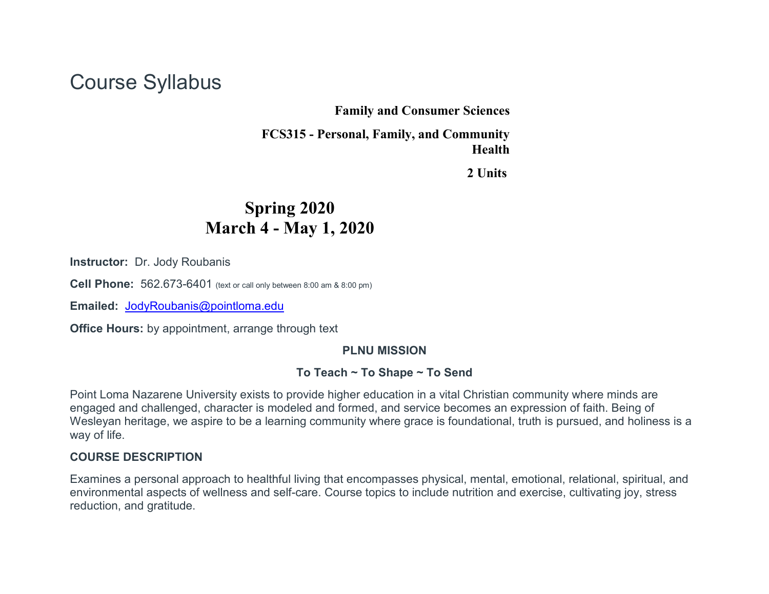# Course Syllabus

#### **Family and Consumer Sciences**

**FCS315 - Personal, Family, and Community Health**

**2 Units**

# **Spring 2020 March 4 - May 1, 2020**

**Instructor:** Dr. Jody Roubanis

**Cell Phone:** 562.673-6401 (text or call only between 8:00 am & 8:00 pm)

**Emailed:** [JodyRoubanis@pointloma.edu](mailto:JodyRoubanis@pointloma.edu)

**Office Hours:** by appointment, arrange through text

#### **PLNU MISSION**

#### **To Teach ~ To Shape ~ To Send**

Point Loma Nazarene University exists to provide higher education in a vital Christian community where minds are engaged and challenged, character is modeled and formed, and service becomes an expression of faith. Being of Wesleyan heritage, we aspire to be a learning community where grace is foundational, truth is pursued, and holiness is a way of life.

#### **COURSE DESCRIPTION**

Examines a personal approach to healthful living that encompasses physical, mental, emotional, relational, spiritual, and environmental aspects of wellness and self-care. Course topics to include nutrition and exercise, cultivating joy, stress reduction, and gratitude.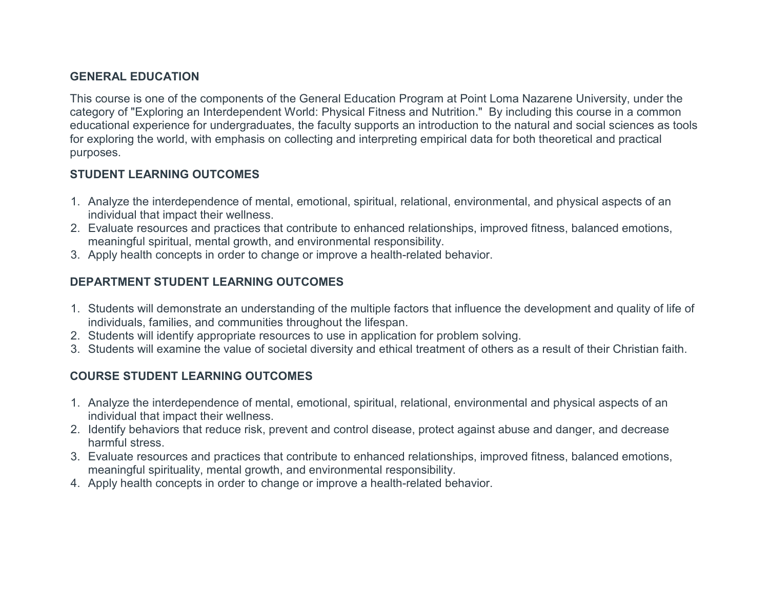## **GENERAL EDUCATION**

This course is one of the components of the General Education Program at Point Loma Nazarene University, under the category of "Exploring an Interdependent World: Physical Fitness and Nutrition." By including this course in a common educational experience for undergraduates, the faculty supports an introduction to the natural and social sciences as tools for exploring the world, with emphasis on collecting and interpreting empirical data for both theoretical and practical purposes.

## **STUDENT LEARNING OUTCOMES**

- 1. Analyze the interdependence of mental, emotional, spiritual, relational, environmental, and physical aspects of an individual that impact their wellness.
- 2. Evaluate resources and practices that contribute to enhanced relationships, improved fitness, balanced emotions, meaningful spiritual, mental growth, and environmental responsibility.
- 3. Apply health concepts in order to change or improve a health-related behavior.

# **DEPARTMENT STUDENT LEARNING OUTCOMES**

- 1. Students will demonstrate an understanding of the multiple factors that influence the development and quality of life of individuals, families, and communities throughout the lifespan.
- 2. Students will identify appropriate resources to use in application for problem solving.
- 3. Students will examine the value of societal diversity and ethical treatment of others as a result of their Christian faith.

# **COURSE STUDENT LEARNING OUTCOMES**

- 1. Analyze the interdependence of mental, emotional, spiritual, relational, environmental and physical aspects of an individual that impact their wellness.
- 2. Identify behaviors that reduce risk, prevent and control disease, protect against abuse and danger, and decrease harmful stress.
- 3. Evaluate resources and practices that contribute to enhanced relationships, improved fitness, balanced emotions, meaningful spirituality, mental growth, and environmental responsibility.
- 4. Apply health concepts in order to change or improve a health-related behavior.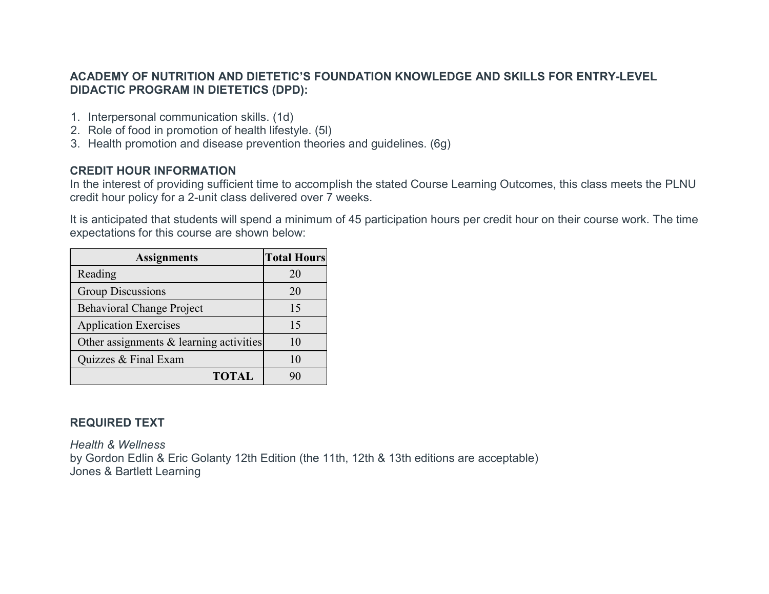#### **ACADEMY OF NUTRITION AND DIETETIC'S FOUNDATION KNOWLEDGE AND SKILLS FOR ENTRY-LEVEL DIDACTIC PROGRAM IN DIETETICS (DPD):**

- 1. Interpersonal communication skills. (1d)
- 2. Role of food in promotion of health lifestyle. (5l)
- 3. Health promotion and disease prevention theories and guidelines. (6g)

# **CREDIT HOUR INFORMATION**

In the interest of providing sufficient time to accomplish the stated Course Learning Outcomes, this class meets the PLNU credit hour policy for a 2-unit class delivered over 7 weeks.

It is anticipated that students will spend a minimum of 45 participation hours per credit hour on their course work. The time expectations for this course are shown below:

| <b>Assignments</b>                      | <b>Total Hours</b> |
|-----------------------------------------|--------------------|
| Reading                                 | 20                 |
| <b>Group Discussions</b>                | 20                 |
| <b>Behavioral Change Project</b>        | 15                 |
| <b>Application Exercises</b>            | 15                 |
| Other assignments & learning activities | 10                 |
| Quizzes & Final Exam                    | 10                 |
| <b>TOTAL</b>                            | 90                 |

# **REQUIRED TEXT**

*Health & Wellness* by Gordon Edlin & Eric Golanty 12th Edition (the 11th, 12th & 13th editions are acceptable) Jones & Bartlett Learning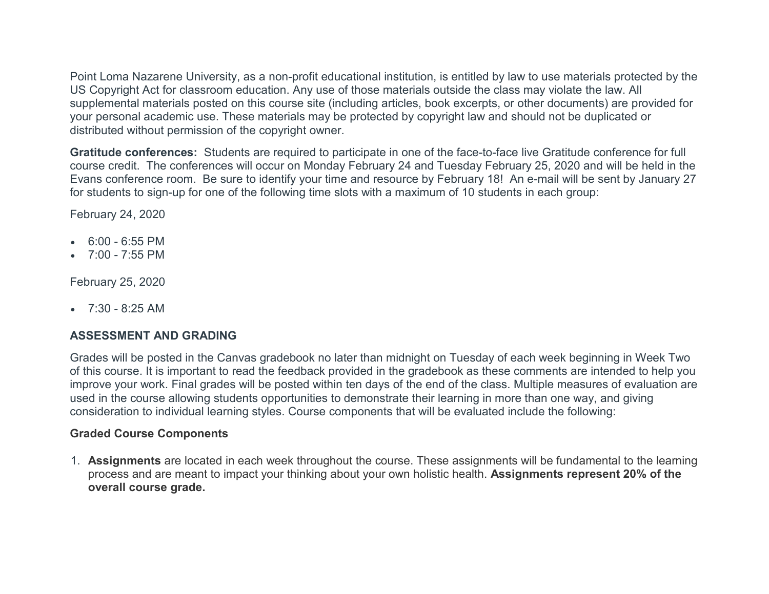Point Loma Nazarene University, as a non-profit educational institution, is entitled by law to use materials protected by the US Copyright Act for classroom education. Any use of those materials outside the class may violate the law. All supplemental materials posted on this course site (including articles, book excerpts, or other documents) are provided for your personal academic use. These materials may be protected by copyright law and should not be duplicated or distributed without permission of the copyright owner.

**Gratitude conferences:** Students are required to participate in one of the face-to-face live Gratitude conference for full course credit. The conferences will occur on Monday February 24 and Tuesday February 25, 2020 and will be held in the Evans conference room. Be sure to identify your time and resource by February 18! An e-mail will be sent by January 27 for students to sign-up for one of the following time slots with a maximum of 10 students in each group:

February 24, 2020

- $\bullet$  6:00 6:55 PM
- $\bullet$  7:00 7:55 PM

February 25, 2020

 $\bullet$  7:30 - 8:25 AM

#### **ASSESSMENT AND GRADING**

Grades will be posted in the Canvas gradebook no later than midnight on Tuesday of each week beginning in Week Two of this course. It is important to read the feedback provided in the gradebook as these comments are intended to help you improve your work. Final grades will be posted within ten days of the end of the class. Multiple measures of evaluation are used in the course allowing students opportunities to demonstrate their learning in more than one way, and giving consideration to individual learning styles. Course components that will be evaluated include the following:

#### **Graded Course Components**

1. **Assignments** are located in each week throughout the course. These assignments will be fundamental to the learning process and are meant to impact your thinking about your own holistic health. **Assignments represent 20% of the overall course grade.**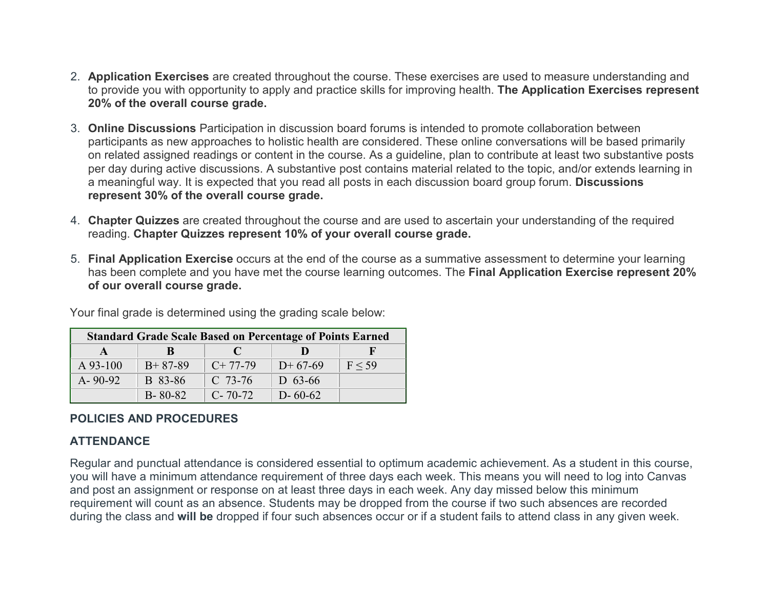- 2. **Application Exercises** are created throughout the course. These exercises are used to measure understanding and to provide you with opportunity to apply and practice skills for improving health. **The Application Exercises represent 20% of the overall course grade.**
- 3. **Online Discussions** Participation in discussion board forums is intended to promote collaboration between participants as new approaches to holistic health are considered. These online conversations will be based primarily on related assigned readings or content in the course. As a guideline, plan to contribute at least two substantive posts per day during active discussions. A substantive post contains material related to the topic, and/or extends learning in a meaningful way. It is expected that you read all posts in each discussion board group forum. **Discussions represent 30% of the overall course grade.**
- 4. **Chapter Quizzes** are created throughout the course and are used to ascertain your understanding of the required reading. **Chapter Quizzes represent 10% of your overall course grade.**
- 5. **Final Application Exercise** occurs at the end of the course as a summative assessment to determine your learning has been complete and you have met the course learning outcomes. The **Final Application Exercise represent 20% of our overall course grade.**

| <b>Standard Grade Scale Based on Percentage of Points Earned</b> |               |               |               |            |
|------------------------------------------------------------------|---------------|---------------|---------------|------------|
|                                                                  | К             | T N           |               |            |
| $A$ 93-100                                                       | $B+87-89$     | $C+77-79$     | $D+67-69$     | $F \le 59$ |
| $A - 90 - 92$                                                    | B 83-86       | $C$ 73-76     | D $63-66$     |            |
|                                                                  | $B - 80 - 82$ | $C - 70 - 72$ | $D - 60 - 62$ |            |

Your final grade is determined using the grading scale below:

#### **POLICIES AND PROCEDURES**

#### **ATTENDANCE**

Regular and punctual attendance is considered essential to optimum academic achievement. As a student in this course, you will have a minimum attendance requirement of three days each week. This means you will need to log into Canvas and post an assignment or response on at least three days in each week. Any day missed below this minimum requirement will count as an absence. Students may be dropped from the course if two such absences are recorded during the class and **will be** dropped if four such absences occur or if a student fails to attend class in any given week.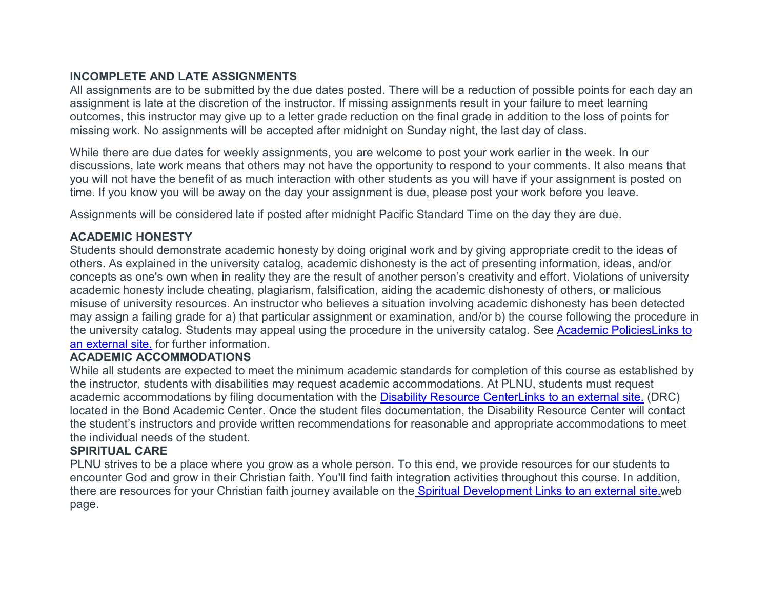## **INCOMPLETE AND LATE ASSIGNMENTS**

All assignments are to be submitted by the due dates posted. There will be a reduction of possible points for each day an assignment is late at the discretion of the instructor. If missing assignments result in your failure to meet learning outcomes, this instructor may give up to a letter grade reduction on the final grade in addition to the loss of points for missing work. No assignments will be accepted after midnight on Sunday night, the last day of class.

While there are due dates for weekly assignments, you are welcome to post your work earlier in the week. In our discussions, late work means that others may not have the opportunity to respond to your comments. It also means that you will not have the benefit of as much interaction with other students as you will have if your assignment is posted on time. If you know you will be away on the day your assignment is due, please post your work before you leave.

Assignments will be considered late if posted after midnight Pacific Standard Time on the day they are due.

# **ACADEMIC HONESTY**

Students should demonstrate academic honesty by doing original work and by giving appropriate credit to the ideas of others. As explained in the university catalog, academic dishonesty is the act of presenting information, ideas, and/or concepts as one's own when in reality they are the result of another person's creativity and effort. Violations of university academic honesty include cheating, plagiarism, falsification, aiding the academic dishonesty of others, or malicious misuse of university resources. An instructor who believes a situation involving academic dishonesty has been detected may assign a failing grade for a) that particular assignment or examination, and/or b) the course following the procedure in the university catalog. Students may appeal using the procedure in the university catalog. See [Academic PoliciesLinks](http://catalog.pointloma.edu/content.php?catoid=8&navoid=864) to an [external](http://catalog.pointloma.edu/content.php?catoid=8&navoid=864) site. for further information.

#### **ACADEMIC ACCOMMODATIONS**

While all students are expected to meet the minimum academic standards for completion of this course as established by the instructor, students with disabilities may request academic accommodations. At PLNU, students must request academic accommodations by filing documentation with the [Disability Resource CenterLinks](http://www.pointloma.edu/experience/offices/administrative-offices/academic-advising-office/disability-resource-center) to an external site. (DRC) located in the Bond Academic Center. Once the student files documentation, the Disability Resource Center will contact the student's instructors and provide written recommendations for reasonable and appropriate accommodations to meet the individual needs of the student.

#### **SPIRITUAL CARE**

PLNU strives to be a place where you grow as a whole person. To this end, we provide resources for our students to encounter God and grow in their Christian faith. You'll find faith integration activities throughout this course. In addition, there are resources for your Christian faith journey available on the [Spiritual Development](http://www.pointloma.edu/experience/faith) Links to an external site.web page.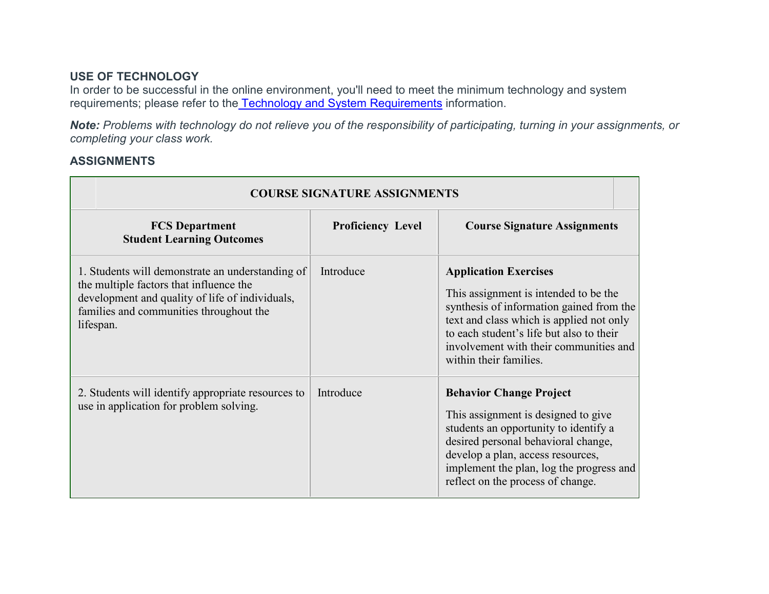#### **USE OF TECHNOLOGY**

In order to be successful in the online environment, you'll need to meet the minimum technology and system r[e](https://canvas.pointloma.edu/courses/47996/pages/technology-and-system-requirements)quirements; please refer to the [Technology and System Requirements](https://canvas.pointloma.edu/courses/47996/pages/technology-and-system-requirements) information.

*Note: Problems with technology do not relieve you of the responsibility of participating, turning in your assignments, or completing your class work.*

#### **ASSIGNMENTS**

| <b>COURSE SIGNATURE ASSIGNMENTS</b>                                                                                                                                                                    |                          |                                                                                                                                                                                                                                                                               |  |
|--------------------------------------------------------------------------------------------------------------------------------------------------------------------------------------------------------|--------------------------|-------------------------------------------------------------------------------------------------------------------------------------------------------------------------------------------------------------------------------------------------------------------------------|--|
| <b>FCS Department</b><br><b>Student Learning Outcomes</b>                                                                                                                                              | <b>Proficiency Level</b> | <b>Course Signature Assignments</b>                                                                                                                                                                                                                                           |  |
| 1. Students will demonstrate an understanding of<br>the multiple factors that influence the<br>development and quality of life of individuals,<br>families and communities throughout the<br>lifespan. | Introduce                | <b>Application Exercises</b><br>This assignment is intended to be the<br>synthesis of information gained from the<br>text and class which is applied not only<br>to each student's life but also to their<br>involvement with their communities and<br>within their families. |  |
| 2. Students will identify appropriate resources to<br>use in application for problem solving.                                                                                                          | Introduce                | <b>Behavior Change Project</b><br>This assignment is designed to give<br>students an opportunity to identify a<br>desired personal behavioral change,<br>develop a plan, access resources,<br>implement the plan, log the progress and<br>reflect on the process of change.   |  |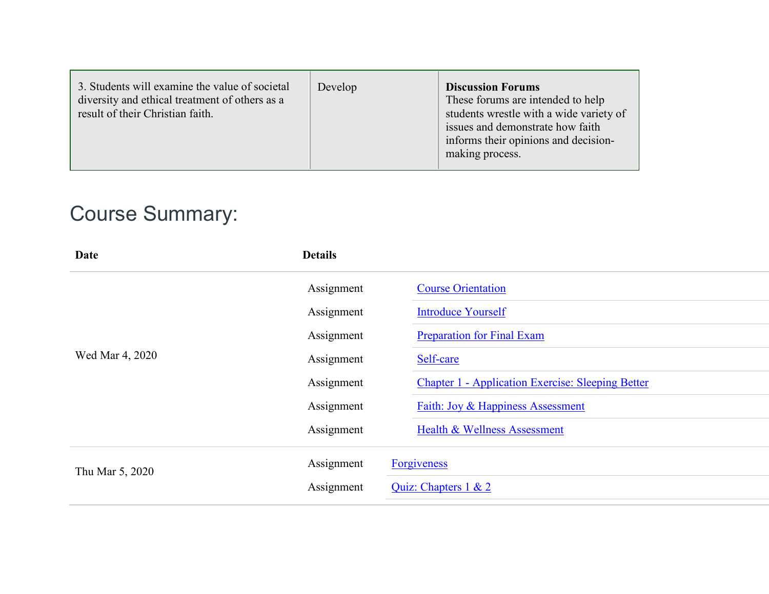| 3. Students will examine the value of societal<br>diversity and ethical treatment of others as a<br>result of their Christian faith. | Develop | <b>Discussion Forums</b><br>These forums are intended to help<br>students wrestle with a wide variety of<br>issues and demonstrate how faith<br>informs their opinions and decision-<br>making process. |
|--------------------------------------------------------------------------------------------------------------------------------------|---------|---------------------------------------------------------------------------------------------------------------------------------------------------------------------------------------------------------|
|--------------------------------------------------------------------------------------------------------------------------------------|---------|---------------------------------------------------------------------------------------------------------------------------------------------------------------------------------------------------------|

# Course Summary:

| Date            | <b>Details</b> |                                                          |
|-----------------|----------------|----------------------------------------------------------|
|                 | Assignment     | <b>Course Orientation</b>                                |
|                 | Assignment     | <b>Introduce Yourself</b>                                |
|                 | Assignment     | <b>Preparation for Final Exam</b>                        |
| Wed Mar 4, 2020 | Assignment     | Self-care                                                |
|                 | Assignment     | <b>Chapter 1 - Application Exercise: Sleeping Better</b> |
|                 | Assignment     | Faith: Joy & Happiness Assessment                        |
|                 | Assignment     | Health & Wellness Assessment                             |
| Thu Mar 5, 2020 | Assignment     | <b>Forgiveness</b>                                       |
|                 | Assignment     | Quiz: Chapters 1 & 2                                     |
|                 |                |                                                          |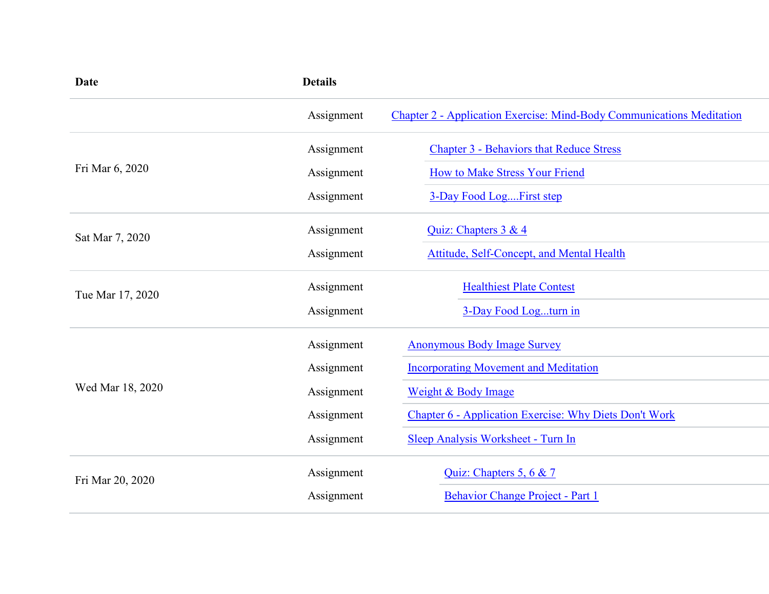| <b>Date</b>      | <b>Details</b> |                                                                       |  |
|------------------|----------------|-----------------------------------------------------------------------|--|
|                  | Assignment     | Chapter 2 - Application Exercise: Mind-Body Communications Meditation |  |
|                  | Assignment     | <b>Chapter 3 - Behaviors that Reduce Stress</b>                       |  |
| Fri Mar 6, 2020  | Assignment     | How to Make Stress Your Friend                                        |  |
|                  | Assignment     | 3-Day Food Log First step                                             |  |
| Sat Mar 7, 2020  | Assignment     | Quiz: Chapters 3 & 4                                                  |  |
|                  | Assignment     | Attitude, Self-Concept, and Mental Health                             |  |
| Tue Mar 17, 2020 | Assignment     | <b>Healthiest Plate Contest</b>                                       |  |
|                  | Assignment     | 3-Day Food Logturn in                                                 |  |
|                  | Assignment     | <b>Anonymous Body Image Survey</b>                                    |  |
|                  | Assignment     | <b>Incorporating Movement and Meditation</b>                          |  |
| Wed Mar 18, 2020 | Assignment     | Weight & Body Image                                                   |  |
|                  | Assignment     | <b>Chapter 6 - Application Exercise: Why Diets Don't Work</b>         |  |
|                  | Assignment     | Sleep Analysis Worksheet - Turn In                                    |  |
| Fri Mar 20, 2020 | Assignment     | Quiz: Chapters 5, 6 & 7                                               |  |
|                  | Assignment     | Behavior Change Project - Part 1                                      |  |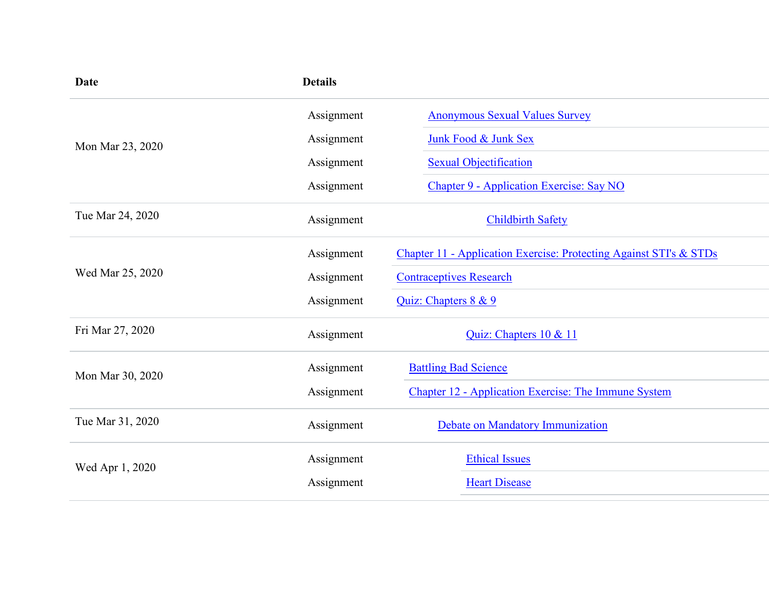| <b>Details</b> |                                                                    |  |
|----------------|--------------------------------------------------------------------|--|
| Assignment     | <b>Anonymous Sexual Values Survey</b>                              |  |
| Assignment     | Junk Food & Junk Sex                                               |  |
| Assignment     | <b>Sexual Objectification</b>                                      |  |
| Assignment     | Chapter 9 - Application Exercise: Say NO                           |  |
| Assignment     | <b>Childbirth Safety</b>                                           |  |
| Assignment     | Chapter 11 - Application Exercise: Protecting Against STI's & STDs |  |
| Assignment     | <b>Contraceptives Research</b>                                     |  |
| Assignment     | Quiz: Chapters 8 & 9                                               |  |
| Assignment     | Quiz: Chapters 10 & 11                                             |  |
| Assignment     | <b>Battling Bad Science</b>                                        |  |
| Assignment     | Chapter 12 - Application Exercise: The Immune System               |  |
| Assignment     | Debate on Mandatory Immunization                                   |  |
| Assignment     | <b>Ethical Issues</b>                                              |  |
| Assignment     | <b>Heart Disease</b>                                               |  |
|                |                                                                    |  |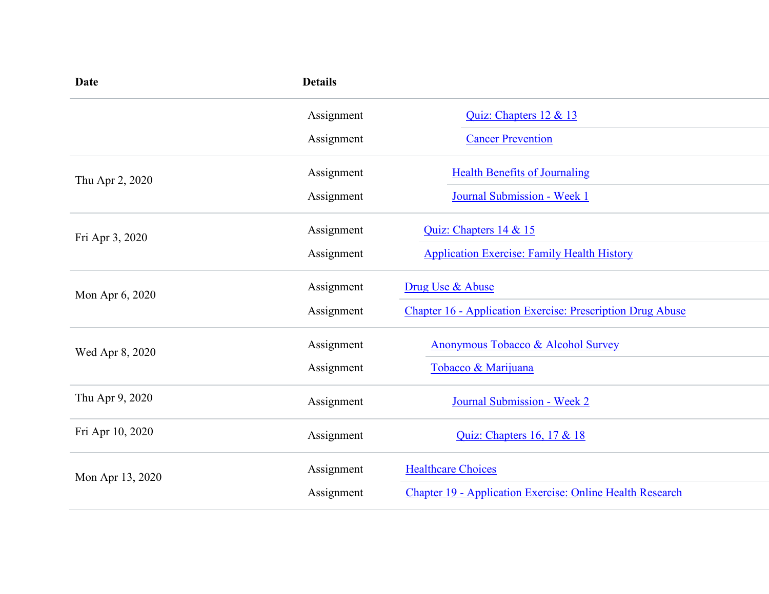| Date             | <b>Details</b> |                                                                  |
|------------------|----------------|------------------------------------------------------------------|
|                  | Assignment     | Quiz: Chapters 12 & 13                                           |
|                  | Assignment     | <b>Cancer Prevention</b>                                         |
| Thu Apr 2, 2020  | Assignment     | <b>Health Benefits of Journaling</b>                             |
|                  | Assignment     | Journal Submission - Week 1                                      |
| Fri Apr 3, 2020  | Assignment     | Quiz: Chapters 14 & 15                                           |
|                  | Assignment     | <b>Application Exercise: Family Health History</b>               |
| Mon Apr 6, 2020  | Assignment     | Drug Use & Abuse                                                 |
|                  | Assignment     | Chapter 16 - Application Exercise: Prescription Drug Abuse       |
| Wed Apr 8, 2020  | Assignment     | Anonymous Tobacco & Alcohol Survey                               |
|                  | Assignment     | Tobacco & Marijuana                                              |
| Thu Apr 9, 2020  | Assignment     | Journal Submission - Week 2                                      |
| Fri Apr 10, 2020 | Assignment     | Quiz: Chapters 16, 17 & 18                                       |
| Mon Apr 13, 2020 | Assignment     | <b>Healthcare Choices</b>                                        |
|                  | Assignment     | <b>Chapter 19 - Application Exercise: Online Health Research</b> |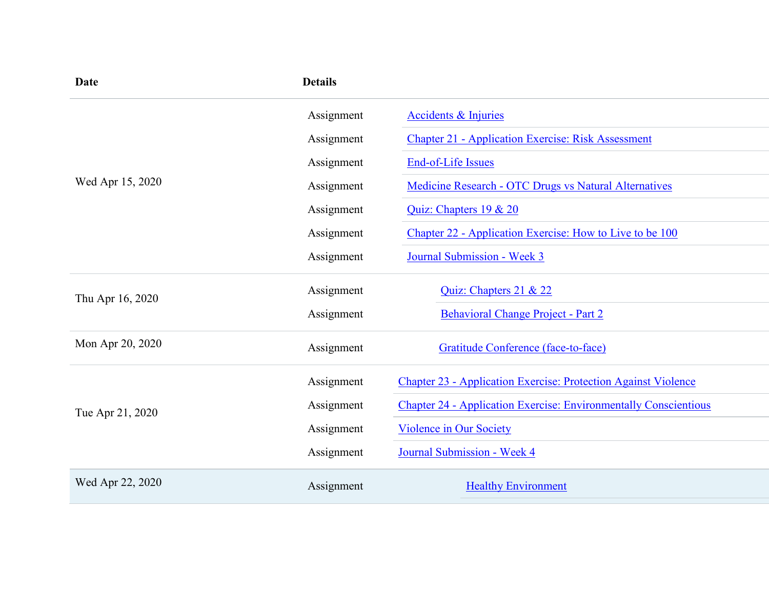| Date             | <b>Details</b> |                                                                         |
|------------------|----------------|-------------------------------------------------------------------------|
|                  | Assignment     | <b>Accidents &amp; Injuries</b>                                         |
|                  | Assignment     | <b>Chapter 21 - Application Exercise: Risk Assessment</b>               |
|                  | Assignment     | End-of-Life Issues                                                      |
| Wed Apr 15, 2020 | Assignment     | Medicine Research - OTC Drugs vs Natural Alternatives                   |
|                  | Assignment     | Quiz: Chapters 19 & 20                                                  |
|                  | Assignment     | Chapter 22 - Application Exercise: How to Live to be 100                |
|                  | Assignment     | Journal Submission - Week 3                                             |
| Thu Apr 16, 2020 | Assignment     | Quiz: Chapters 21 & 22                                                  |
|                  | Assignment     | Behavioral Change Project - Part 2                                      |
| Mon Apr 20, 2020 | Assignment     | Gratitude Conference (face-to-face)                                     |
|                  | Assignment     | <b>Chapter 23 - Application Exercise: Protection Against Violence</b>   |
| Tue Apr 21, 2020 | Assignment     | <b>Chapter 24 - Application Exercise: Environmentally Conscientious</b> |
|                  | Assignment     | <b>Violence in Our Society</b>                                          |
|                  | Assignment     | Journal Submission - Week 4                                             |
| Wed Apr 22, 2020 | Assignment     | <b>Healthy Environment</b>                                              |